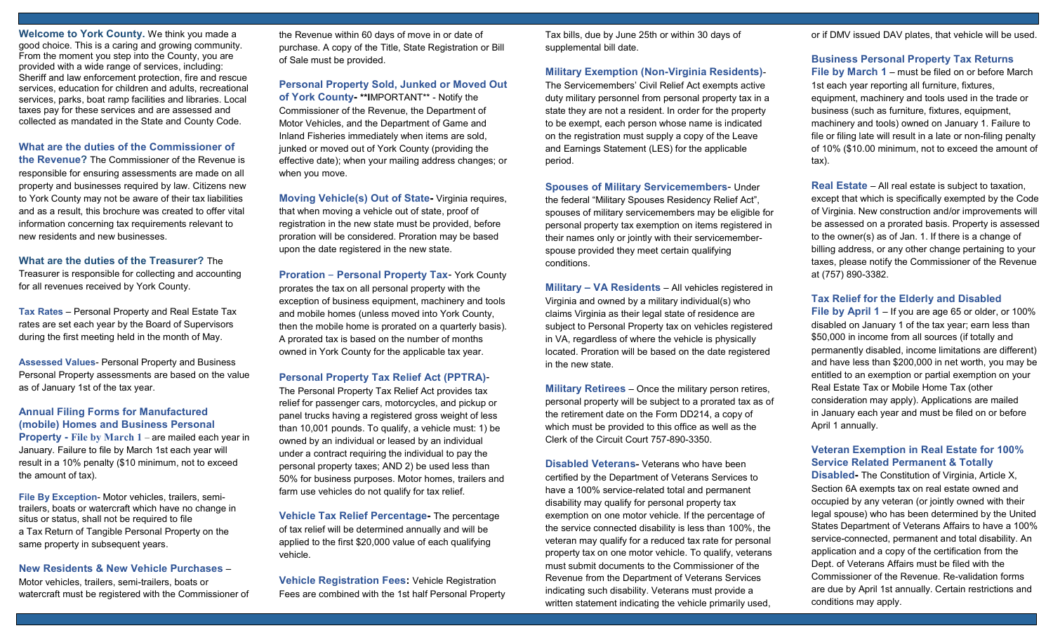Welcome to York County. We think you made a good choice. This is a caring and growing community. From the moment you step into the County, you are provided with a wide range of services, including: Sheriff and law enforcement protection, fire and rescue services, education for children and adults, recreational services, parks, boat ramp facilities and libraries. Local taxes pay for these services and are assessed and collected as mandated in the State and County Code.

## What are the duties of the Commissioner of

the Revenue? The Commissioner of the Revenue is responsible for ensuring assessments are made on all property and businesses required by law. Citizens new to York County may not be aware of their tax liabilities and as a result, this brochure was created to offer vital information concerning tax requirements relevant to new residents and new businesses.

#### What are the duties of the Treasurer? The

Treasurer is responsible for collecting and accounting for all revenues received by York County.

Tax Rates – Personal Property and Real Estate Tax rates are set each year by the Board of Supervisors during the first meeting held in the month of May.

Assessed Values- Personal Property and Business Personal Property assessments are based on the value as of January 1st of the tax year.

## Annual Filing Forms for Manufactured (mobile) Homes and Business Personal

Property - File by March 1 – are mailed each year in January. Failure to file by March 1st each year will result in a 10% penalty (\$10 minimum, not to exceed the amount of tax).

File By Exception- Motor vehicles, trailers, semitrailers, boats or watercraft which have no change in situs or status, shall not be required to file a Tax Return of Tangible Personal Property on the same property in subsequent years.

## New Residents & New Vehicle Purchases –

Motor vehicles, trailers, semi-trailers, boats or watercraft must be registered with the Commissioner of the Revenue within 60 days of move in or date of purchase. A copy of the Title, State Registration or Bill of Sale must be provided.

Personal Property Sold, Junked or Moved Out of York County- \*\*IMPORTANT\*\* - Notify the Commissioner of the Revenue, the Department of Motor Vehicles, and the Department of Game and Inland Fisheries immediately when items are sold, junked or moved out of York County (providing the effective date); when your mailing address changes; or when you move.

Moving Vehicle(s) Out of State- Virginia requires, that when moving a vehicle out of state, proof of registration in the new state must be provided, before proration will be considered. Proration may be based upon the date registered in the new state.

Proration – Personal Property Tax- York County prorates the tax on all personal property with the exception of business equipment, machinery and tools and mobile homes (unless moved into York County, then the mobile home is prorated on a quarterly basis). A prorated tax is based on the number of months owned in York County for the applicable tax year.

#### Personal Property Tax Relief Act (PPTRA)-

The Personal Property Tax Relief Act provides tax relief for passenger cars, motorcycles, and pickup or panel trucks having a registered gross weight of less than 10,001 pounds. To qualify, a vehicle must: 1) be owned by an individual or leased by an individual under a contract requiring the individual to pay the personal property taxes; AND 2) be used less than 50% for business purposes. Motor homes, trailers and farm use vehicles do not qualify for tax relief.

Vehicle Tax Relief Percentage- The percentage of tax relief will be determined annually and will be applied to the first \$20,000 value of each qualifying vehicle.

Vehicle Registration Fees: Vehicle Registration Fees are combined with the 1st half Personal Property Tax bills, due by June 25th or within 30 days of supplemental bill date.

## Military Exemption (Non-Virginia Residents)-

The Servicemembers' Civil Relief Act exempts active duty military personnel from personal property tax in a state they are not a resident. In order for the property to be exempt, each person whose name is indicated on the registration must supply a copy of the Leave and Earnings Statement (LES) for the applicable period.

Spouses of Military Servicemembers- Under the federal "Military Spouses Residency Relief Act", spouses of military servicemembers may be eligible for personal property tax exemption on items registered in their names only or jointly with their servicememberspouse provided they meet certain qualifying conditions.

Military – VA Residents – All vehicles registered in Virginia and owned by a military individual(s) who claims Virginia as their legal state of residence are subject to Personal Property tax on vehicles registered in VA, regardless of where the vehicle is physically located. Proration will be based on the date registered in the new state.

Military Retirees – Once the military person retires, personal property will be subject to a prorated tax as of the retirement date on the Form DD214, a copy of which must be provided to this office as well as the Clerk of the Circuit Court 757-890-3350.

Disabled Veterans- Veterans who have been certified by the Department of Veterans Services to have a 100% service-related total and permanent disability may qualify for personal property tax exemption on one motor vehicle. If the percentage of the service connected disability is less than 100%, the veteran may qualify for a reduced tax rate for personal property tax on one motor vehicle. To qualify, veterans must submit documents to the Commissioner of the Revenue from the Department of Veterans Services indicating such disability. Veterans must provide a written statement indicating the vehicle primarily used,

or if DMV issued DAV plates, that vehicle will be used.

#### Business Personal Property Tax Returns

File by March 1 – must be filed on or before March 1st each year reporting all furniture, fixtures, equipment, machinery and tools used in the trade or business (such as furniture, fixtures, equipment, machinery and tools) owned on January 1. Failure to file or filing late will result in a late or non-filing penalty of 10% (\$10.00 minimum, not to exceed the amount of tax).

Real Estate – All real estate is subject to taxation, except that which is specifically exempted by the Code of Virginia. New construction and/or improvements will be assessed on a prorated basis. Property is assessed to the owner(s) as of Jan. 1. If there is a change of billing address, or any other change pertaining to your taxes, please notify the Commissioner of the Revenue at (757) 890-3382.

#### Tax Relief for the Elderly and Disabled

File by April 1 – If you are age 65 or older, or 100% disabled on January 1 of the tax year; earn less than \$50,000 in income from all sources (if totally and permanently disabled, income limitations are different) and have less than \$200,000 in net worth, you may be entitled to an exemption or partial exemption on your Real Estate Tax or Mobile Home Tax (other consideration may apply). Applications are mailed in January each year and must be filed on or before April 1 annually.

## Veteran Exemption in Real Estate for 100% Service Related Permanent & Totally

Disabled- The Constitution of Virginia, Article X, Section 6A exempts tax on real estate owned and occupied by any veteran (or jointly owned with their legal spouse) who has been determined by the United States Department of Veterans Affairs to have a 100% service-connected, permanent and total disability. An application and a copy of the certification from the Dept. of Veterans Affairs must be filed with the Commissioner of the Revenue. Re-validation forms are due by April 1st annually. Certain restrictions and conditions may apply.